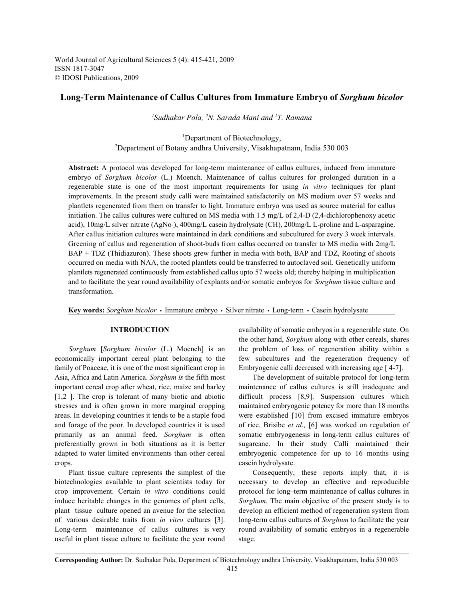World Journal of Agricultural Sciences 5 (4): 415-421, 2009 ISSN 1817-3047 © IDOSI Publications, 2009

# **Long-Term Maintenance of Callus Cultures from Immature Embryo of** *Sorghum bicolor*

<sup>1</sup>Sudhakar Pola, <sup>2</sup>N. Sarada Mani and <sup>1</sup>T. Ramana

<sup>1</sup>Department of Biotechnology, <sup>2</sup>Department of Botany andhra University, Visakhapatnam, India 530 003

**Abstract:** A protocol was developed for long-term maintenance of callus cultures, induced from immature embryo of *Sorghum bicolor* (L.) Moench. Maintenance of callus cultures for prolonged duration in a regenerable state is one of the most important requirements for using *in vitro* techniques for plant improvements. In the present study calli were maintained satisfactorily on MS medium over 57 weeks and plantlets regenerated from them on transfer to light. Immature embryo was used as source material for callus initiation. The callus cultures were cultured on MS media with 1.5 mg/L of 2,4-D (2,4-dichlorophenoxy acetic acid), 10mg/L silver nitrate (AgNo<sub>3</sub>), 400mg/L casein hydrolysate (CH), 200mg/L L-proline and L-asparagine. After callus initiation cultures were maintained in dark conditions and subcultured for every 3 week intervals. Greening of callus and regeneration of shoot-buds from callus occurred on transfer to MS media with 2mg/L BAP + TDZ (Thidiazuron). These shoots grew further in media with both, BAP and TDZ, Rooting of shoots occurred on media with NAA, the rooted plantlets could be transferred to autoclaved soil. Genetically uniform plantlets regenerated continuously from established callus upto 57 weeks old; thereby helping in multiplication and to facilitate the year round availability of explants and/or somatic embryos for *Sorghum* tissue culture and transformation.

Key words: *Sorghum bicolor* · Immature embryo · Silver nitrate · Long-term · Casein hydrolysate

economically important cereal plant belonging to the few subcultures and the regeneration frequency of family of Poaceae, it is one of the most significant crop in Embryogenic calli decreased with increasing age [ 4-7]. Asia, Africa and Latin America. *Sorghum is* the fifth most The development of suitable protocol for long-term important cereal crop after wheat, rice, maize and barley maintenance of callus cultures is still inadequate and [1,2 ]. The crop is tolerant of many biotic and abiotic difficult process [8,9]. Suspension cultures which stresses and is often grown in more marginal cropping maintained embryogenic potency for more than 18 months areas. In developing countries it tends to be a staple food were established [10] from excised immature embryos and forage of the poor. In developed countries it is used of rice. Brisibe *et al.,* [6] was worked on regulation of primarily as an animal feed. *Sorghum* is often somatic embryogenesis in long-term callus cultures of preferentially grown in both situations as it is better sugarcane. In their study Calli maintained their adapted to water limited environments than other cereal embryogenic competence for up to 16 months using crops. casein hydrolysate.

biotechnologies available to plant scientists today for necessary to develop an effective and reproducible crop improvement. Certain *in vitro* conditions could protocol for long–term maintenance of callus cultures in induce heritable changes in the genomes of plant cells, *Sorghum*. The main objective of the present study is to plant tissue culture opened an avenue for the selection develop an efficient method of regeneration system from of various desirable traits from *in vitro* cultures [3]. long-term callus cultures of *Sorghum* to facilitate the year Long-term maintenance of callus cultures is very round availability of somatic embryos in a regenerable useful in plant tissue culture to facilitate the year round stage.

**INTRODUCTION** availability of somatic embryos in a regenerable state. On *Sorghum* [*Sorghum bicolor* (L.) Moench] is an the problem of loss of regeneration ability within a the other hand, *Sorghum* along with other cereals, shares

Plant tissue culture represents the simplest of the Consequently, these reports imply that, it is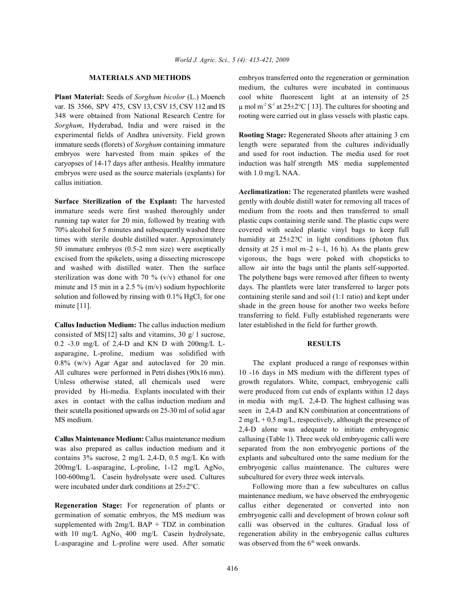var. IS 3566, SPV 475, CSV 13, CSV 15, CSV 112 and IS  $\mu$  mol m<sup>2</sup> S<sup>-1</sup> at 25 $\pm$ 2°C [13]. The cultures for shooting and 348 were obtained from National Research Centre for rooting were carried out in glass vessels with plastic caps. *Sorghum*, Hyderabad, India and were raised in the experimental fields of Andhra university. Field grown **Rooting Stage:** Regenerated Shoots after attaining 3 cm immature seeds (florets) of *Sorghum* containing immature length were separated from the cultures individually embryos were harvested from main spikes of the and used for root induction. The media used for root caryopses of 14-17 days after anthesis. Healthy immature induction was half strength MS media supplemented embryos were used as the source materials (explants) for with 1.0 mg/L NAA. callus initiation.

immature seeds were first washed thoroughly under medium from the roots and then transferred to small running tap water for 20 min, followed by treating with plastic cups containing sterile sand. The plastic cups were 70% alcohol for 5 minutes and subsequently washed three covered with sealed plastic vinyl bags to keep full times with sterile double distilled water. Approximately humidity at 25±2?C in light conditions (photon flux 50 immature embryos (0.5-2 mm size) were aseptically density at 25 ì mol m–2 s–1, 16 h). As the plants grew excised from the spikelets, using a dissecting microscope vigorous, the bags were poked with chopsticks to and washed with distilled water. Then the surface allow air into the bags until the plants self-supported. sterilization was done with 70 % (v/v) ethanol for one The polythene bags were removed after fifteen to twenty minute and 15 min in a 2.5 % (m/v) sodium hypochlorite days. The plantlets were later transferred to larger pots solution and followed by rinsing with  $0.1\%$  HgCl<sub>2</sub> for one containing sterile sand and soil (1:1 ratio) and kept under minute [11]. shade in the green house for another two weeks before

**Callus Induction Medium:** The callus induction medium later established in the field for further growth. consisted of MS[12] salts and vitamins, 30 g/ l sucrose, 0.2 -3.0 mg/L of 2,4-D and KN D with 200mg/L L- **RESULTS** asparagine, L-proline, medium was solidified with  $0.8\%$  (w/v) Agar Agar and autoclaved for 20 min. The explant produced a range of responses within

100-600mg/L Casein hydrolysate were used. Cultures subcultured for every three week intervals. were incubated under dark conditions at  $25\pm2$ °C. Following more than a few subcultures on callus

L-asparagine and L-proline were used. After somatic

**MATERIALS AND METHODS** embryos transferred onto the regeneration or germination **Plant Material:** Seeds of *Sorghum bicolor* (L.) Moench cool white fluorescent light at an intensity of 25 medium, the cultures were incubated in continuous

**Surface Sterilization of the Explant:** The harvested gently with double distill water for removing all traces of **Acclimatization:** The regenerated plantlets were washed transferring to field. Fully established regenerants were

All cultures were performed in Petri dishes (90x16 mm). 10 -16 days in MS medium with the different types of Unless otherwise stated, all chemicals used were growth regulators. White, compact, embryogenic calli provided by Hi-media. Explants inoculated with their were produced from cut ends of explants within 12 days axes in contact with the callus induction medium and in media with mg/L 2,4-D. The highest callusing was their scutella positioned upwards on 25-30 ml of solid agar seen in 2,4-D and KN combination at concentrations of MS medium. 2 mg/L + 0.5 mg/L, respectively, although the presence of **Callus Maintenance Medium:** Callus maintenance medium callusing (Table 1). Three week old embryogenic calli were was also prepared as callus induction medium and it separated from the non embryogenic portions of the contains 3% sucrose, 2 mg/L 2,4-D, 0.5 mg/L Kn with explants and subcultured onto the same medium for the  $200$ mg/L L-asparagine, L-proline, 1-12 mg/L AgNo, embryogenic callus maintenance. The cultures were 2,4-D alone was adequate to initiate embryogenic

**Regeneration Stage:** For regeneration of plants or callus either degenerated or converted into non germination of somatic embryos, the MS medium was embryogenic calli and development of brown colour soft supplemented with 2mg/L BAP + TDZ in combination calli was observed in the cultures. Gradual loss of with 10 mg/L  $AgNo<sub>3</sub>$  400 mg/L Casein hydrolysate, regeneration ability in the embryogenic callus cultures maintenance medium, we have observed the embryogenic was observed from the  $6<sup>th</sup>$  week onwards.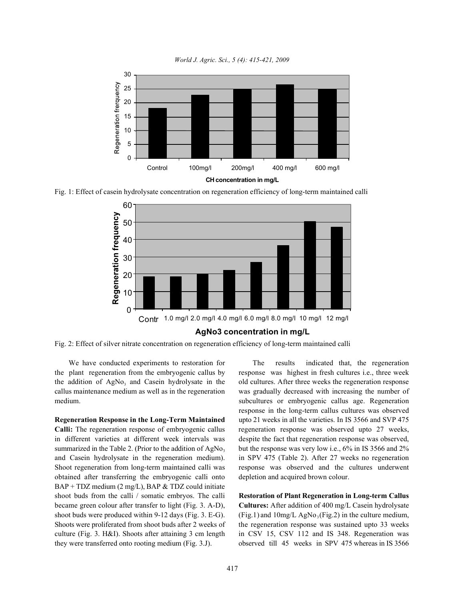

*World J. Agric. Sci., 5 (4): 415-421, 2009*

Fig. 1: Effect of casein hydrolysate concentration on regeneration efficiency of long-term maintained calli



Fig. 2: Effect of silver nitrate concentration on regeneration efficiency of long-term maintained calli

**Calli:** The regeneration response of embryogenic callus regeneration response was observed upto 27 weeks, in different varieties at different week intervals was despite the fact that regeneration response was observed, summarized in the Table 2. (Prior to the addition of AgNo<sub>3</sub> but the response was very low i.e., 6% in IS 3566 and 2% and Casein hydrolysate in the regeneration medium). in SPV 475 (Table 2). After 27 weeks no regeneration Shoot regeneration from long-term maintained calli was response was observed and the cultures underwent obtained after transferring the embryogenic calli onto depletion and acquired brown colour. BAP + TDZ medium (2 mg/L), BAP & TDZ could initiate shoot buds from the calli / somatic embryos. The calli **Restoration of Plant Regeneration in Long-term Callus** became green colour after transfer to light (Fig. 3. A-D), **Cultures:** After addition of 400 mg/L Casein hydrolysate shoot buds were produced within 9-12 days (Fig. 3. E-G). (Fig.1) and  $10 \text{mg/L AgNo}_3(\text{Fig.2})$  in the culture medium, Shoots were proliferated from shoot buds after 2 weeks of the regeneration response was sustained upto 33 weeks culture (Fig. 3. H&I). Shoots after attaining 3 cm length in CSV 15, CSV 112 and IS 348. Regeneration was they were transferred onto rooting medium (Fig. 3.J). observed till 45 weeks in SPV 475 whereas in IS 3566

We have conducted experiments to restoration for The results indicated that, the regeneration the plant regeneration from the embryogenic callus by response was highest in fresh cultures i.e., three week the addition of AgNo<sub>3</sub> and Casein hydrolysate in the old cultures. After three weeks the regeneration response callus maintenance medium as well as in the regeneration was gradually decreased with increasing the number of medium. subcultures or embryogenic callus age. Regeneration **Regeneration Response in the Long-Term Maintained** upto 21 weeks in all the varieties. In IS 3566 and SVP 475 response in the long-term callus cultures was observed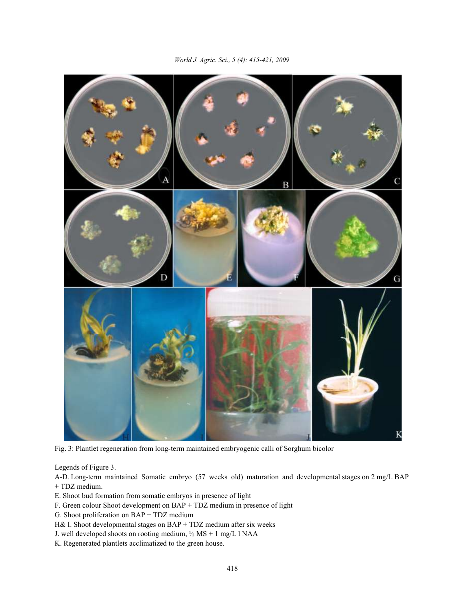

Fig. 3: Plantlet regeneration from long-term maintained embryogenic calli of Sorghum bicolor

Legends of Figure 3.

A-D. Long-term maintained Somatic embryo (57 weeks old) maturation and developmental stages on 2 mg/L BAP + TDZ medium.

- E. Shoot bud formation from somatic embryos in presence of light
- F. Green colour Shoot development on BAP + TDZ medium in presence of light

G. Shoot proliferation on BAP + TDZ medium

H& I. Shoot developmental stages on BAP + TDZ medium after six weeks

- J. well developed shoots on rooting medium, ½ MS + 1 mg/L l NAA
- K. Regenerated plantlets acclimatized to the green house.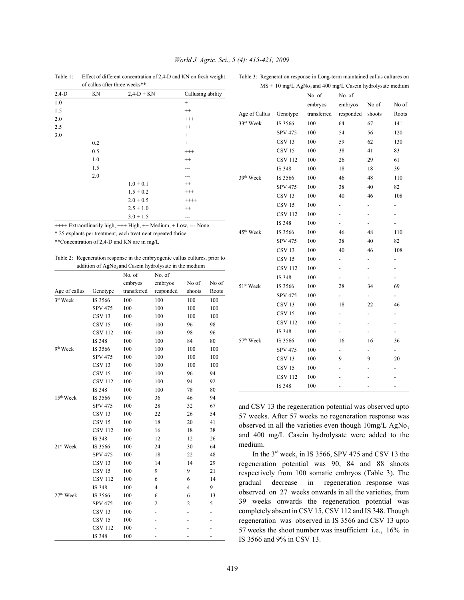|         | of callus after three weeks** |              |                   |
|---------|-------------------------------|--------------|-------------------|
| $2,4-D$ | KN                            | $2,4-D + KN$ | Callusing ability |
| 1.0     |                               |              | $+$               |
| 1.5     |                               |              | $++$              |
| 2.0     |                               |              | $^{+++}$          |
| 2.5     |                               |              | $++$              |
| 3.0     |                               |              | $+$               |
|         | 0.2                           |              | $^{+}$            |
|         | 0.5                           |              | $^{+++}$          |
|         | 1.0                           |              | $++$              |
|         | 1.5                           |              |                   |
|         | 2.0                           |              |                   |
|         |                               | $1.0 + 0.1$  | $^{++}$           |
|         |                               | $1.5 + 0.2$  | $^{+++}$          |
|         |                               | $2.0 + 0.5$  | $+++++$           |
|         |                               | $2.5 + 1.0$  | $^{++}$           |
|         |                               | $3.0 + 1.5$  |                   |

## *World J. Agric. Sci., 5 (4): 415-421, 2009*

Table 1: Effect of different concentration of 2,4-D and KN on fresh weight Table 3: Regeneration response in Long-term maintained callus cultures on  $MS + 10$  mg/L AgNo<sub>3</sub> and 400 mg/L Casein hydrolysate medium

| ++++ Extraordinarily high, +++ High, ++ Medium, + Low, --- None. |  |
|------------------------------------------------------------------|--|
|------------------------------------------------------------------|--|

\* 25 explants per treatment, each treatment repeated thrice.

\*\*Concentration of 2,4-D and KN are in mg/L

Table 2: Regeneration response in the embryogenic callus cultures, prior to addition of AgNo<sub>3</sub> and Casein hydrolysate in the medium

|                       |                   | No. of      | No. of         |                |       |
|-----------------------|-------------------|-------------|----------------|----------------|-------|
|                       |                   | embryos     | embryos        | No of          | No of |
| Age of callus         | Genotype          | transferred | responded      | shoots         | Roots |
| 3rd Week              | IS 3566           | 100         | 100            | 100            | 100   |
|                       | <b>SPV 475</b>    | 100         | 100            | 100            | 100   |
|                       | CSV <sub>13</sub> | 100         | 100            | 100            | 100   |
|                       | CSV <sub>15</sub> | 100         | 100            | 96             | 98    |
|                       | <b>CSV 112</b>    | 100         | 100            | 98             | 96    |
|                       | IS 348            | 100         | 100            | 84             | 80    |
| 9 <sup>th</sup> Week  | IS 3566           | 100         | 100            | 100            | 100   |
|                       | <b>SPV 475</b>    | 100         | 100            | 100            | 100   |
|                       | CSV <sub>13</sub> | 100         | 100            | 100            | 100   |
|                       | CSV <sub>15</sub> | 100         | 100            | 96             | 94    |
|                       | <b>CSV 112</b>    | 100         | 100            | 94             | 92    |
|                       | IS 348            | 100         | 100            | 78             | 80    |
| 15 <sup>th</sup> Week | IS 3566           | 100         | 36             | 46             | 94    |
|                       | <b>SPV 475</b>    | 100         | 28             | 32             | 67    |
|                       | CSV <sub>13</sub> | 100         | 22             | 26             | 54    |
|                       | CSV <sub>15</sub> | 100         | 18             | 20             | 41    |
|                       | <b>CSV 112</b>    | 100         | 16             | 18             | 38    |
|                       | IS 348            | 100         | 12             | 12             | 26    |
| 21 <sup>st</sup> Week | IS 3566           | 100         | 24             | 30             | 64    |
|                       | <b>SPV 475</b>    | 100         | 18             | 22             | 48    |
|                       | CSV <sub>13</sub> | 100         | 14             | 14             | 29    |
|                       | CSV <sub>15</sub> | 100         | 9              | 9              | 21    |
|                       | <b>CSV 112</b>    | 100         | 6              | 6              | 14    |
|                       | IS 348            | 100         | $\overline{4}$ | $\overline{4}$ | 9     |
| 27 <sup>th</sup> Week | IS 3566           | 100         | 6              | 6              | 13    |
|                       | <b>SPV 475</b>    | 100         | $\overline{c}$ | $\overline{c}$ | 5     |
|                       | CSV <sub>13</sub> | 100         |                |                |       |
|                       | <b>CSV15</b>      | 100         |                |                | -     |
|                       | <b>CSV 112</b>    | 100         |                |                |       |
|                       | IS 348            | 100         |                |                |       |

|                       |                   | No. of      | No. of                   |                          |                          |
|-----------------------|-------------------|-------------|--------------------------|--------------------------|--------------------------|
|                       |                   | embryos     | embryos                  | No of                    | No of                    |
| Age of Callus         | Genotype          | transferred | responded                | shoots                   | Roots                    |
| 33rd Week             | IS 3566           | 100         | 64                       | 67                       | 141                      |
|                       | <b>SPV 475</b>    | 100         | 54                       | 56                       | 120                      |
|                       | CSV <sub>13</sub> | 100         | 59                       | 62                       | 130                      |
|                       | CSV <sub>15</sub> | 100         | 38                       | 41                       | 83                       |
|                       | <b>CSV 112</b>    | 100         | 26                       | 29                       | 61                       |
|                       | IS 348            | 100         | 18                       | 18                       | 39                       |
| 39 <sup>th</sup> Week | IS 3566           | 100         | 46                       | 48                       | 110                      |
|                       | <b>SPV 475</b>    | 100         | 38                       | 40                       | 82                       |
|                       | <b>CSV13</b>      | 100         | 40                       | 46                       | 108                      |
|                       | <b>CSV15</b>      | 100         | $\overline{\phantom{0}}$ | -                        | $\overline{\phantom{0}}$ |
|                       | <b>CSV 112</b>    | 100         | $\overline{a}$           | $\overline{\phantom{0}}$ | $\overline{\phantom{0}}$ |
|                       | IS 348            | 100         |                          | $\overline{\phantom{0}}$ |                          |
| 45 <sup>th</sup> Week | IS 3566           | 100         | 46                       | 48                       | 110                      |
|                       | <b>SPV 475</b>    | 100         | 38                       | 40                       | 82                       |
|                       | CSV <sub>13</sub> | 100         | 40                       | 46                       | 108                      |
|                       | CSV <sub>15</sub> | 100         | -                        | -                        | -                        |
|                       | <b>CSV 112</b>    | 100         | $\overline{\phantom{0}}$ | -                        | $\overline{\phantom{0}}$ |
|                       | IS 348            | 100         | $\overline{\phantom{0}}$ | -                        | $\overline{\phantom{0}}$ |
| 51 <sup>st</sup> Week | IS 3566           | 100         | 28                       | 34                       | 69                       |
|                       | <b>SPV 475</b>    | 100         | $\overline{\phantom{0}}$ |                          |                          |
|                       | CSV <sub>13</sub> | 100         | 18                       | 22                       | 46                       |
|                       | CSV <sub>15</sub> | 100         | -                        |                          | -                        |
|                       | <b>CSV 112</b>    | 100         | -                        |                          | -                        |
|                       | IS 348            | 100         |                          |                          | -                        |
| 57 <sup>th</sup> Week | IS 3566           | 100         | 16                       | 16                       | 36                       |
|                       | <b>SPV 475</b>    | 100         | -                        |                          | $\overline{\phantom{0}}$ |
|                       | CSV <sub>13</sub> | 100         | 9                        | 9                        | 20                       |
|                       | CSV <sub>15</sub> | 100         |                          |                          |                          |
|                       | <b>CSV 112</b>    | 100         |                          |                          |                          |
|                       | IS 348            | 100         |                          |                          |                          |

and CSV 13 the regeneration potential was observed upto 57 weeks. After 57 weeks no regeneration response was observed in all the varieties even though  $10$ mg/L AgNo<sub>3</sub> and 400 mg/L Casein hydrolysate were added to the medium.

In the  $3<sup>rd</sup>$  week, in IS 3566, SPV 475 and CSV 13 the regeneration potential was 90, 84 and 88 shoots respectively from 100 somatic embryos (Table 3). The gradual decrease in regeneration response was observed on 27 weeks onwards in all the varieties, from 39 weeks onwards the regeneration potential was completely absent in CSV 15, CSV 112 and IS 348. Though regeneration was observed in IS 3566 and CSV 13 upto 57 weeks the shoot number was insufficient i.e., 16% in IS 3566 and 9% in CSV 13.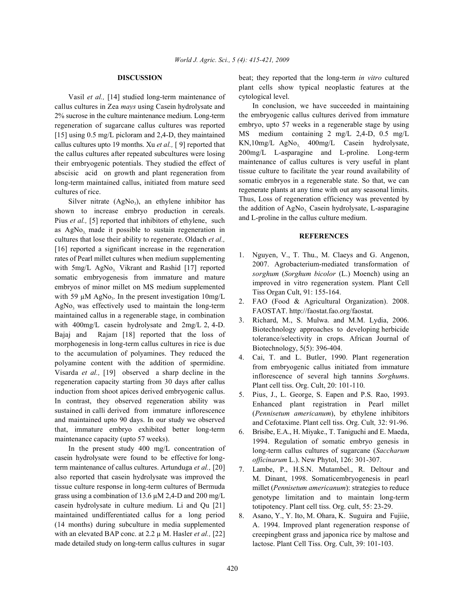Vasil *et al.,* [14] studied long-term maintenance of callus cultures in Zea *mays* using Casein hydrolysate and 2% sucrose in the culture maintenance medium. Long-term regeneration of sugarcane callus cultures was reported [15] using 0.5 mg/L picloram and 2,4-D, they maintained callus cultures upto 19 months. Xu *et al.,* [ 9] reported that the callus cultures after repeated subcultures were losing their embryogenic potentials. They studied the effect of abscisic acid on growth and plant regeneration from long-term maintained callus, initiated from mature seed cultures of rice.

Silver nitrate  $(AgNo<sub>3</sub>)$ , an ethylene inhibitor has shown to increase embryo production in cereals. Pius *et al.*, [5] reported that inhibitors of ethylene, such as  $AgNo$ , made it possible to sustain regeneration in cultures that lose their ability to regenerate. Oldach *et al.,* [16] reported a significant increase in the regeneration rates of Pearl millet cultures when medium supplementing with  $5mg/L$  AgNo, Vikrant and Rashid [17] reported somatic embryogenesis from immature and mature embryos of minor millet on MS medium supplemented with 59  $\mu$ M AgNo<sub>3</sub>. In the present investigation 10mg/L  $AgNo<sub>3</sub>$  was effectively used to maintain the long-term maintained callus in a regenerable stage, in combination with 400mg/L casein hydrolysate and 2mg/L 2, 4-D. Bajaj and Rajam [18] reported that the loss of morphogenesis in long-term callus cultures in rice is due to the accumulation of polyamines. They reduced the polyamine content with the addition of spermidine. Visarda *et al.,* [19] observed a sharp decline in the regeneration capacity starting from 30 days after callus induction from shoot apices derived embryogenic callus. In contrast, they observed regeneration ability was sustained in calli derived from immature inflorescence and maintained upto 90 days. In our study we observed that, immature embryo exhibited better long-term maintenance capacity (upto 57 weeks).

In the present study 400 mg/L concentration of casein hydrolysate were found to be effective for longterm maintenance of callus cultures. Artunduga *et al.,* [20] also reported that casein hydrolysate was improved the tissue culture response in long-term cultures of Bermuda grass using a combination of 13.6 µM 2,4-D and 200 mg/L casein hydrolysate in culture medium. Li and Qu [21] maintained undifferentiated callus for a long period (14 months) during subculture in media supplemented with an elevated BAP conc. at 2.2 µ M. Hasler *et al.,* [22] made detailed study on long-term callus cultures in sugar

**DISCUSSION** beat; they reported that the long-term *in vitro* cultured plant cells show typical neoplastic features at the cytological level.

> In conclusion, we have succeeded in maintaining the embryogenic callus cultures derived from immature embryo, upto 57 weeks in a regenerable stage by using MS medium containing 2 mg/L 2,4-D, 0.5 mg/L  $KN,10mg/L$  AgNo,  $400mg/L$  Casein hydrolysate, 200mg/L L-asparagine and L-proline. Long-term maintenance of callus cultures is very useful in plant tissue culture to facilitate the year round availability of somatic embryos in a regenerable state. So that, we can regenerate plants at any time with out any seasonal limits. Thus, Loss of regeneration efficiency was prevented by the addition of AgNo, Casein hydrolysate, L-asparagine and L-proline in the callus culture medium.

## **REFERENCES**

- 1. Nguyen, V., T. Thu., M. Claeys and G. Angenon, 2007. Agrobacterium-mediated transformation of *sorghum* (*Sorghum bicolor* (L.) Moench) using an improved in vitro regeneration system. Plant Cell Tiss Organ Cult, 91: 155-164.
- 2. FAO (Food & Agricultural Organization). 2008. FAOSTAT. http://faostat.fao.org/faostat.
- 3. Richard, M., S. Mulwa. and M.M. Lydia, 2006. Biotechnology approaches to developing herbicide tolerance/selectivity in crops. African Journal of Biotechnology, 5(5): 396-404.
- 4. Cai, T. and L. Butler, 1990. Plant regeneration from embryogenic callus initiated from immature inflorescence of several high tannins *Sorghum*s. Plant cell tiss. Org. Cult, 20: 101-110.
- 5. Pius, J., L. George, S. Eapen and P.S. Rao, 1993. Enhanced plant registration in Pearl millet (*Pennisetum americanum*), by ethylene inhibitors and Cefotaxime. Plant cell tiss. Org. Cult*,* 32: 91-96.
- 6. Brisibe, E.A., H. Miyake., T. Taniguchi and E. Maeda, 1994. Regulation of somatic embryo genesis in long-term callus cultures of sugarcane (*Saccharum officinarum* L.). New Phytol, 126: 301-307.
- 7. Lambe, P., H.S.N. Mutambel., R. Deltour and M. Dinant, 1998. Somaticembryogenesis in pearl millet (*Pennisetum americanum*): strategies to reduce genotype limitation and to maintain long-term totipotency. Plant cell tiss. Org. cult, 55: 23-29.
- 8. Asano, Y., Y. Ito, M. Ohara, K. Suguira and Fujiie, A. 1994. Improved plant regeneration response of creepingbent grass and japonica rice by maltose and lactose. Plant Cell Tiss. Org. Cult, 39: 101-103.